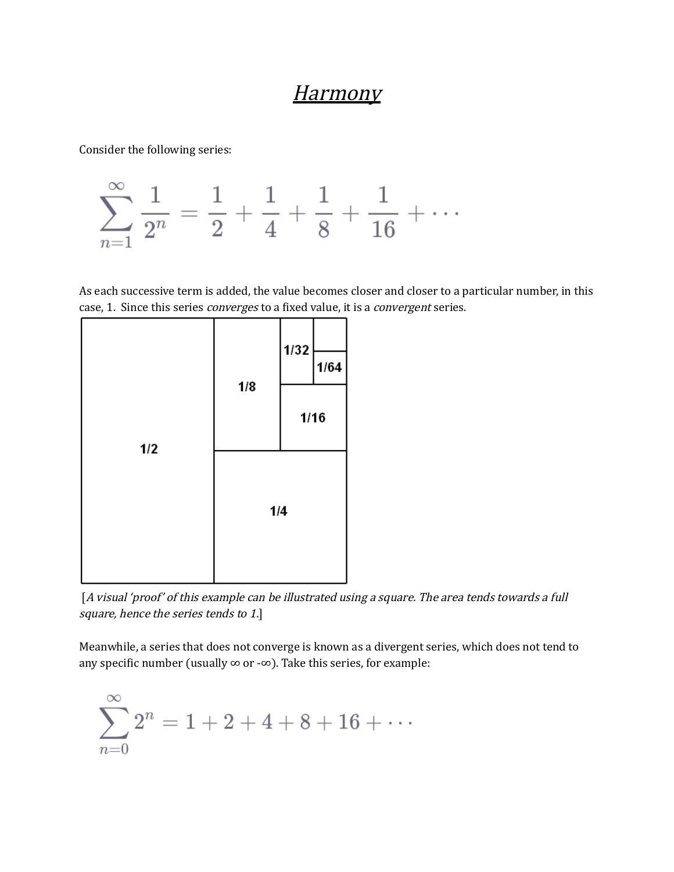## Harmony

Consider the following series:



As each successive term is added, the value becomes closer and closer to a particular number, in this case, 1. Since this series converges to a fixed value, it is a convergent series.



[A visual 'proof' of this example can be illustrated using a square. The area tends towards a full square, hence the series tends to 1.]

Meanwhile, a series that does not converge is known as a divergent series, which does not tend to any specific number (usually  $\infty$  or - $\infty$ ). Take this series, for example:

$$
\sum_{n=0}^{\infty} 2^n = 1 + 2 + 4 + 8 + 16 + \cdots
$$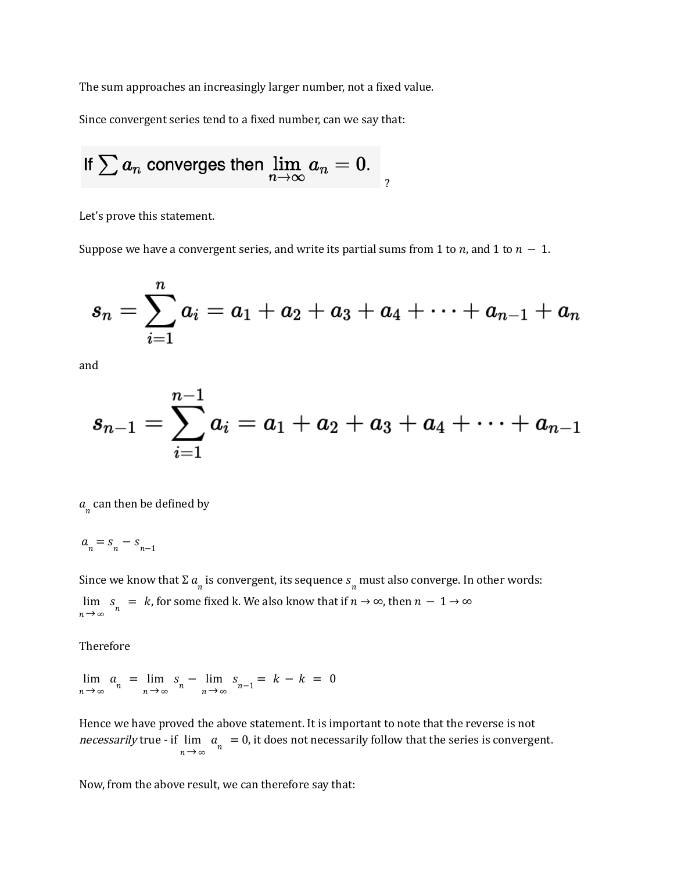The sum approaches an increasingly larger number, not a fixed value.

Since convergent series tend to a fixed number, can we say that:

If 
$$
\sum a_n
$$
 converges then  $\lim_{n \to \infty} a_n = 0$ .

Let's prove this statement.

Suppose we have a convergent series, and write its partial sums from 1 to *n*, and 1 to  $n - 1$ .

$$
s_n=\sum_{i=1}^n a_i=a_1+a_2+a_3+a_4+\cdots+a_{n-1}+a_n
$$

and

$$
s_{n-1}=\sum_{i=1}^{n-1}a_i=a_1+a_2+a_3+a_4+\cdots+a_{n-1}
$$

 $a_n^{\dagger}$  can then be defined by

$$
a_{n}=s_{n}-s_{n-1} \\
$$

Since we know that  $\Sigma$   $a_{_{n}}$  is convergent, its sequence  $s_{_{n}}$  must also converge. In other words: , for some fixed k. We also know that if  $n \to \infty$ , then  $n-1 \to \infty$  $n \rightarrow \infty$ lim  $\rightarrow$  $s_n = k$ , for some fixed k. We also know that if  $n \to \infty$ , then  $n - 1 \to \infty$ 

Therefore

 $n \rightarrow \infty$ lim  $\rightarrow$  $a_n = \lim_{n \to \infty}$ lim  $\rightarrow$  $s_n - \lim_{n \to \infty}$ lim  $\rightarrow$  $s_{n-1} = k - k = 0$ 

Hence we have proved the above statement. It is important to note that the reverse is not necessarily true - if  $\lim a_{n} = 0$ , it does not necessarily follow that the series is convergent.  $n \rightarrow \infty$ lim  $\rightarrow$  $a_n =$ 

Now, from the above result, we can therefore say that: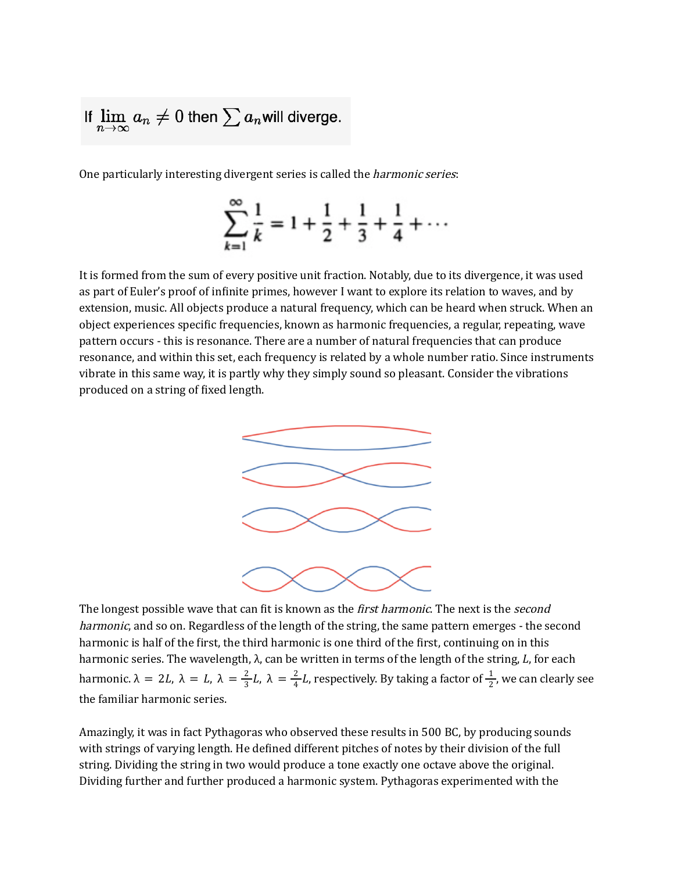If 
$$
\lim_{n\to\infty} a_n \neq 0
$$
 then  $\sum a_n$  will diverge.

One particularly interesting divergent series is called the *harmonic series*:

$$
\sum_{k=1}^{\infty} \frac{1}{k} = 1 + \frac{1}{2} + \frac{1}{3} + \frac{1}{4} + \cdots
$$

It is formed from the sum of every positive unit fraction. Notably, due to its divergence, it was used as part of Euler's proof of infinite primes, however I want to explore its relation to waves, and by extension, music. All objects produce a natural frequency, which can be heard when struck. When an object experiences specific frequencies, known as harmonic frequencies, a regular, repeating, wave pattern occurs - this is resonance. There are a number of natural frequencies that can produce resonance, and within this set, each frequency is related by a whole number ratio. Since instruments vibrate in this same way, it is partly why they simply sound so pleasant. Consider the vibrations produced on a string of fixed length.



The longest possible wave that can fit is known as the *first harmonic*. The next is the *second* harmonic, and so on. Regardless of the length of the string, the same pattern emerges - the second harmonic is half of the first, the third harmonic is one third of the first, continuing on in this harmonic series. The wavelength,  $\lambda$ , can be written in terms of the length of the string,  $L$ , for each harmonic.  $\lambda = 2L$ ,  $\lambda = L$ ,  $\lambda = \frac{2}{3}L$ ,  $\lambda = \frac{2}{4}L$ , respectively. By taking a factor of  $\frac{1}{2}$ , we can clearly see  $\frac{2}{3}L, \lambda = \frac{2}{4}$  $\frac{2}{4}$ L, respectively. By taking a factor of  $\frac{1}{2}$ 2 the familiar harmonic series.

Amazingly, it was in fact Pythagoras who observed these results in 500 BC, by producing sounds with strings of varying length. He defined different pitches of notes by their division of the full string. Dividing the string in two would produce a tone exactly one octave above the original. Dividing further and further produced a harmonic system. Pythagoras experimented with the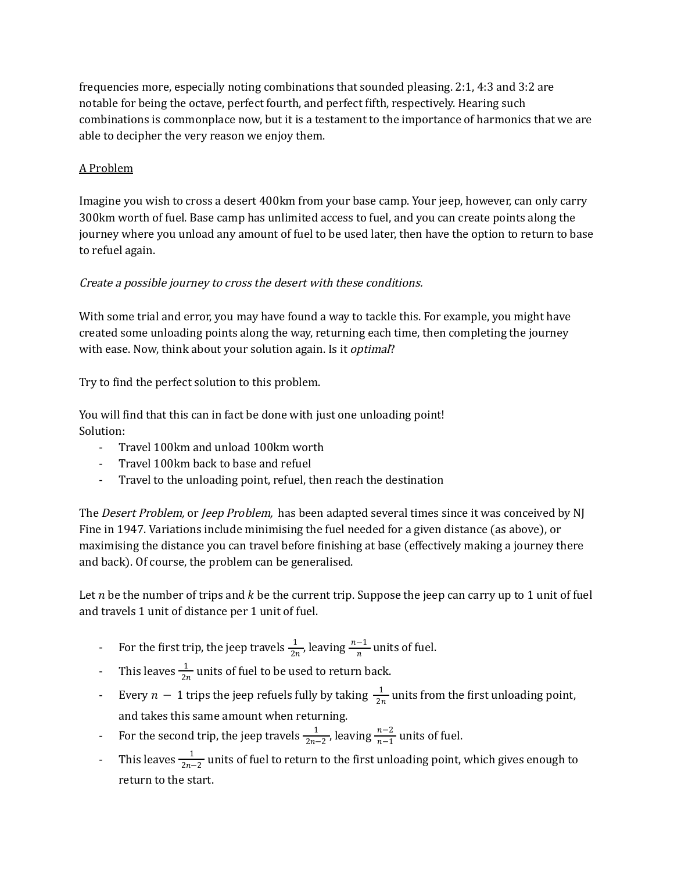frequencies more, especially noting combinations that sounded pleasing. 2:1, 4:3 and 3:2 are notable for being the octave, perfect fourth, and perfect fifth, respectively. Hearing such combinations is commonplace now, but it is a testament to the importance of harmonics that we are able to decipher the very reason we enjoy them.

## A Problem

Imagine you wish to cross a desert 400km from your base camp. Your jeep, however, can only carry 300km worth of fuel. Base camp has unlimited access to fuel, and you can create points along the journey where you unload any amount of fuel to be used later, then have the option to return to base to refuel again.

## Create <sup>a</sup> possible journey to cross the desert with these conditions.

With some trial and error, you may have found a way to tackle this. For example, you might have created some unloading points along the way, returning each time, then completing the journey with ease. Now, think about your solution again. Is it *optimal*?

Try to find the perfect solution to this problem.

You will find that this can in fact be done with just one unloading point! Solution:

- Travel 100km and unload 100km worth
- Travel 100km back to base and refuel
- Travel to the unloading point, refuel, then reach the destination

The *Desert Problem,* or *Jeep Problem*, has been adapted several times since it was conceived by NJ Fine in 1947. Variations include minimising the fuel needed for a given distance (as above), or maximising the distance you can travel before finishing at base (effectively making a journey there and back). Of course, the problem can be generalised.

Let *n* be the number of trips and  $k$  be the current trip. Suppose the jeep can carry up to 1 unit of fuel and travels 1 unit of distance per 1 unit of fuel.

- For the first trip, the jeep travels  $\frac{1}{2n}$ , leaving  $\frac{n-1}{n}$  units of fuel. 2n −1 n
- This leaves  $\frac{1}{2n}$  units of fuel to be used to return back. 2*n*
- Every  $n-1$  trips the jeep refuels fully by taking  $\frac{1}{2n}$  units from the first unloading point, 2*n* and takes this same amount when returning.
- For the second trip, the jeep travels  $\frac{1}{2n-2}$ , leaving  $\frac{n-2}{n-1}$  units of fuel. 2*n*−2 n−2 n−1
- This leaves  $\frac{1}{2n-2}$  units of fuel to return to the first unloading point, which gives enough to  $2n-2$ return to the start.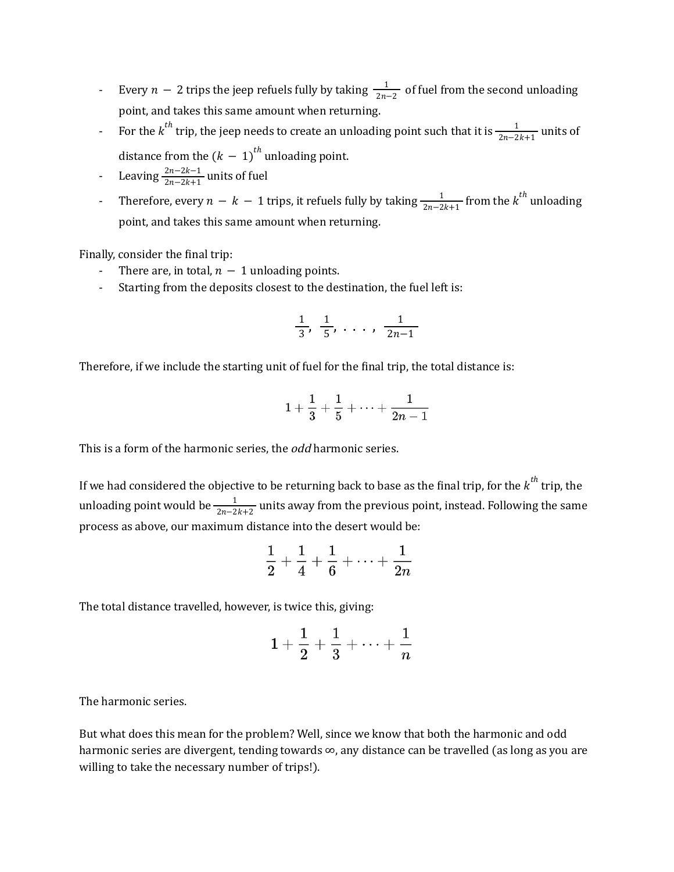- Every  $n-2$  trips the jeep refuels fully by taking  $\frac{1}{2n-2}$  of fuel from the second unloading  $2n-2$ point, and takes this same amount when returning.
- For the  $k^{th}$  trip, the jeep needs to create an unloading point such that it is  $\frac{1}{2n-2k+1}$  units of  $2n-2k+1$ distance from the  $(k - 1)^{th}$  unloading point.
- Leaving  $\frac{2n-2k-1}{2n-2k+1}$  units of fuel  $2n-2k+1$
- Therefore, every  $n k 1$  trips, it refuels fully by taking  $\frac{1}{2n-2k+1}$  from the  $k^{th}$  unloading  $\frac{1}{2n-2k+1}$  from the  $k^{th}$ point, and takes this same amount when returning.

Finally, consider the final trip:

- There are, in total,  $n 1$  unloading points.
- Starting from the deposits closest to the destination, the fuel left is:

$$
\frac{1}{3}, \frac{1}{5}, \ldots, \frac{1}{2n-1}
$$

Therefore, if we include the starting unit of fuel for the final trip, the total distance is:

$$
1+\frac{1}{3}+\frac{1}{5}+\cdots+\frac{1}{2n-1}
$$

This is a form of the harmonic series, the odd harmonic series.

If we had considered the objective to be returning back to base as the final trip, for the  $k^{th}$  trip, the unloading point would be  $\frac{1}{2n-2k+2}$  units away from the previous point, instead. Following the same 2n−2k+2 process as above, our maximum distance into the desert would be:

$$
\frac{1}{2} + \frac{1}{4} + \frac{1}{6} + \cdots + \frac{1}{2n}
$$

The total distance travelled, however, is twice this, giving:

$$
1+\frac{1}{2}+\frac{1}{3}+\cdots+\frac{1}{n}
$$

The harmonic series.

But what does this mean for the problem? Well, since we know that both the harmonic and odd harmonic series are divergent, tending towards ∞, any distance can be travelled (as long as you are willing to take the necessary number of trips!).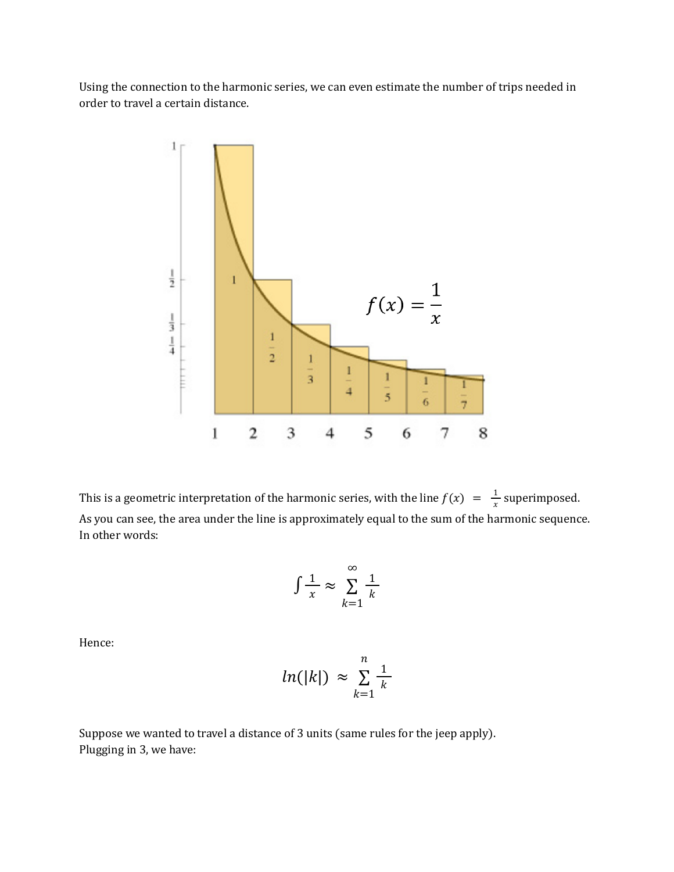Using the connection to the harmonic series, we can even estimate the number of trips needed in order to travel a certain distance.



This is a geometric interpretation of the harmonic series, with the line  $f(x) = \frac{1}{x}$  superimposed. x As you can see, the area under the line is approximately equal to the sum of the harmonic sequence. In other words:

$$
\int \frac{1}{x} \approx \sum_{k=1}^{\infty} \frac{1}{k}
$$

Hence:

$$
ln(|k|) \approx \sum_{k=1}^{n} \frac{1}{k}
$$

Suppose we wanted to travel a distance of 3 units (same rules for the jeep apply). Plugging in 3, we have: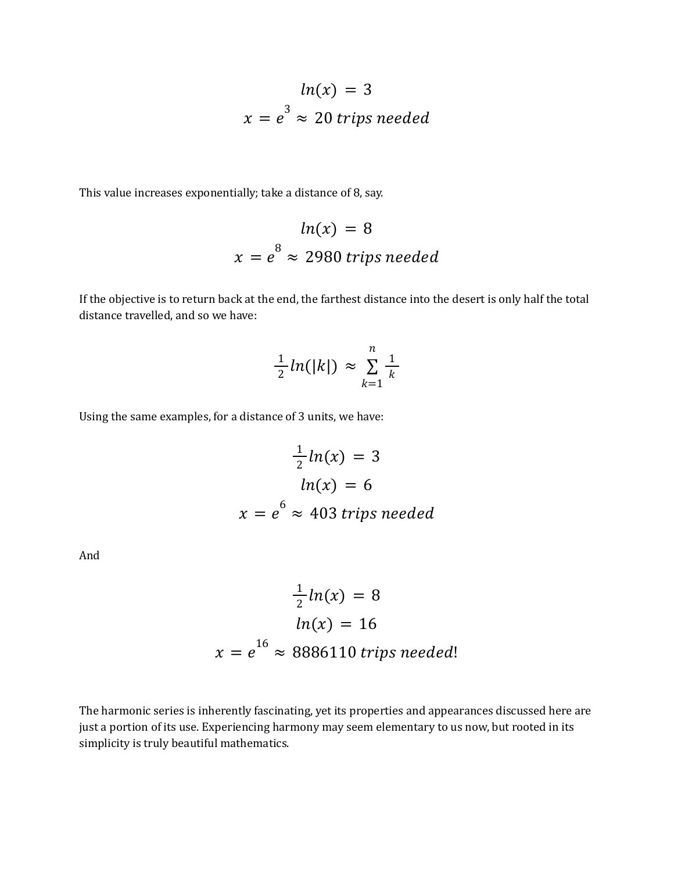$$
ln(x) = 3
$$
  

$$
x = e^3 \approx 20
$$
 trips needed

This value increases exponentially; take a distance of 8, say.

$$
ln(x) = 8
$$
  

$$
x = e^8 \approx 2980
$$
 trips needed

If the objective is to return back at the end, the farthest distance into the desert is only half the total distance travelled, and so we have:

$$
\frac{1}{2}ln(|k|) \approx \sum_{k=1}^{n} \frac{1}{k}
$$

Using the same examples, for a distance of 3 units, we have:

$$
\frac{1}{2}ln(x) = 3
$$
  
ln(x) = 6  

$$
x = e^{6} \approx 403
$$
 trips needed

And

$$
\frac{1}{2}ln(x) = 8
$$
  

$$
ln(x) = 16
$$
  

$$
x = e^{16} \approx 8886110
$$
 trips needed!

The harmonic series is inherently fascinating, yet its properties and appearances discussed here are just a portion of its use. Experiencing harmony may seem elementary to us now, but rooted in its simplicity is truly beautiful mathematics.